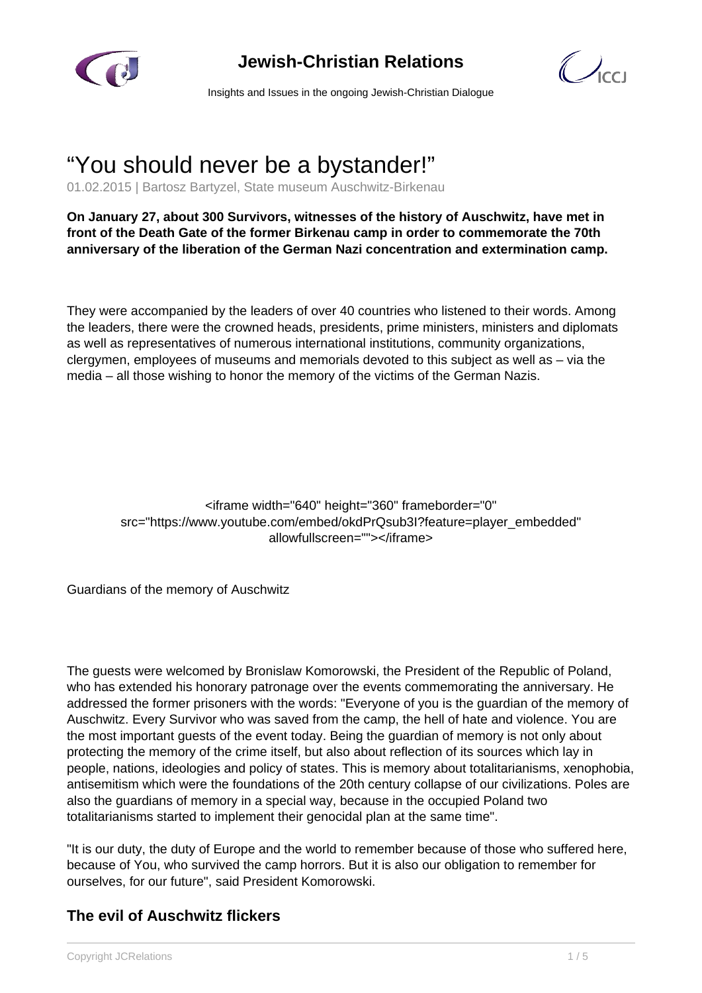

## **Jewish-Christian Relations**



Insights and Issues in the ongoing Jewish-Christian Dialogue

# "You should never be a bystander!"

01.02.2015 | Bartosz Bartyzel, State museum Auschwitz-Birkenau

**On January 27, about 300 Survivors, witnesses of the history of Auschwitz, have met in front of the Death Gate of the former Birkenau camp in order to commemorate the 70th anniversary of the liberation of the German Nazi concentration and extermination camp.**

They were accompanied by the leaders of over 40 countries who listened to their words. Among the leaders, there were the crowned heads, presidents, prime ministers, ministers and diplomats as well as representatives of numerous international institutions, community organizations, clergymen, employees of museums and memorials devoted to this subject as well as – via the media – all those wishing to honor the memory of the victims of the German Nazis.

<iframe width="640" height="360" frameborder="0" src="https://www.youtube.com/embed/okdPrQsub3I?feature=player\_embedded" allowfullscreen=""></iframe>

Guardians of the memory of Auschwitz

The guests were welcomed by Bronislaw Komorowski, the President of the Republic of Poland, who has extended his honorary patronage over the events commemorating the anniversary. He addressed the former prisoners with the words: "Everyone of you is the guardian of the memory of Auschwitz. Every Survivor who was saved from the camp, the hell of hate and violence. You are the most important guests of the event today. Being the guardian of memory is not only about protecting the memory of the crime itself, but also about reflection of its sources which lay in people, nations, ideologies and policy of states. This is memory about totalitarianisms, xenophobia, antisemitism which were the foundations of the 20th century collapse of our civilizations. Poles are also the guardians of memory in a special way, because in the occupied Poland two totalitarianisms started to implement their genocidal plan at the same time".

"It is our duty, the duty of Europe and the world to remember because of those who suffered here, because of You, who survived the camp horrors. But it is also our obligation to remember for ourselves, for our future", said President Komorowski.

### **The evil of Auschwitz flickers**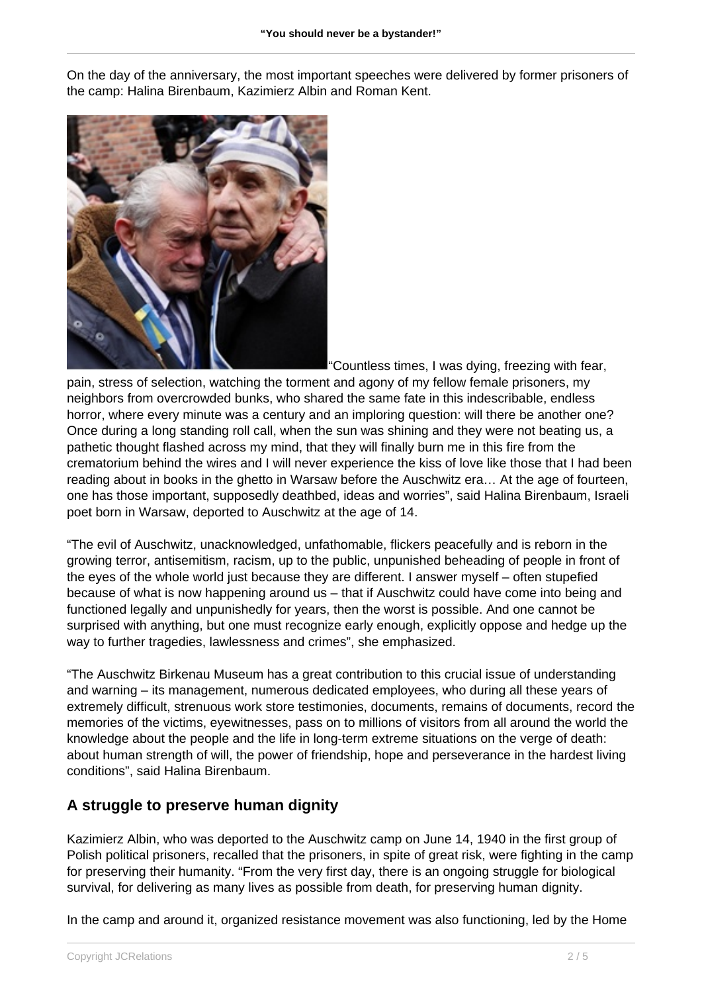On the day of the anniversary, the most important speeches were delivered by former prisoners of the camp: Halina Birenbaum, Kazimierz Albin and Roman Kent.



"Countless times, I was dying, freezing with fear,

pain, stress of selection, watching the torment and agony of my fellow female prisoners, my neighbors from overcrowded bunks, who shared the same fate in this indescribable, endless horror, where every minute was a century and an imploring question: will there be another one? Once during a long standing roll call, when the sun was shining and they were not beating us, a pathetic thought flashed across my mind, that they will finally burn me in this fire from the crematorium behind the wires and I will never experience the kiss of love like those that I had been reading about in books in the ghetto in Warsaw before the Auschwitz era… At the age of fourteen, one has those important, supposedly deathbed, ideas and worries", said Halina Birenbaum, Israeli poet born in Warsaw, deported to Auschwitz at the age of 14.

"The evil of Auschwitz, unacknowledged, unfathomable, flickers peacefully and is reborn in the growing terror, antisemitism, racism, up to the public, unpunished beheading of people in front of the eyes of the whole world just because they are different. I answer myself – often stupefied because of what is now happening around us – that if Auschwitz could have come into being and functioned legally and unpunishedly for years, then the worst is possible. And one cannot be surprised with anything, but one must recognize early enough, explicitly oppose and hedge up the way to further tragedies, lawlessness and crimes", she emphasized.

"The Auschwitz Birkenau Museum has a great contribution to this crucial issue of understanding and warning – its management, numerous dedicated employees, who during all these years of extremely difficult, strenuous work store testimonies, documents, remains of documents, record the memories of the victims, eyewitnesses, pass on to millions of visitors from all around the world the knowledge about the people and the life in long-term extreme situations on the verge of death: about human strength of will, the power of friendship, hope and perseverance in the hardest living conditions", said Halina Birenbaum.

### **A struggle to preserve human dignity**

Kazimierz Albin, who was deported to the Auschwitz camp on June 14, 1940 in the first group of Polish political prisoners, recalled that the prisoners, in spite of great risk, were fighting in the camp for preserving their humanity. "From the very first day, there is an ongoing struggle for biological survival, for delivering as many lives as possible from death, for preserving human dignity.

In the camp and around it, organized resistance movement was also functioning, led by the Home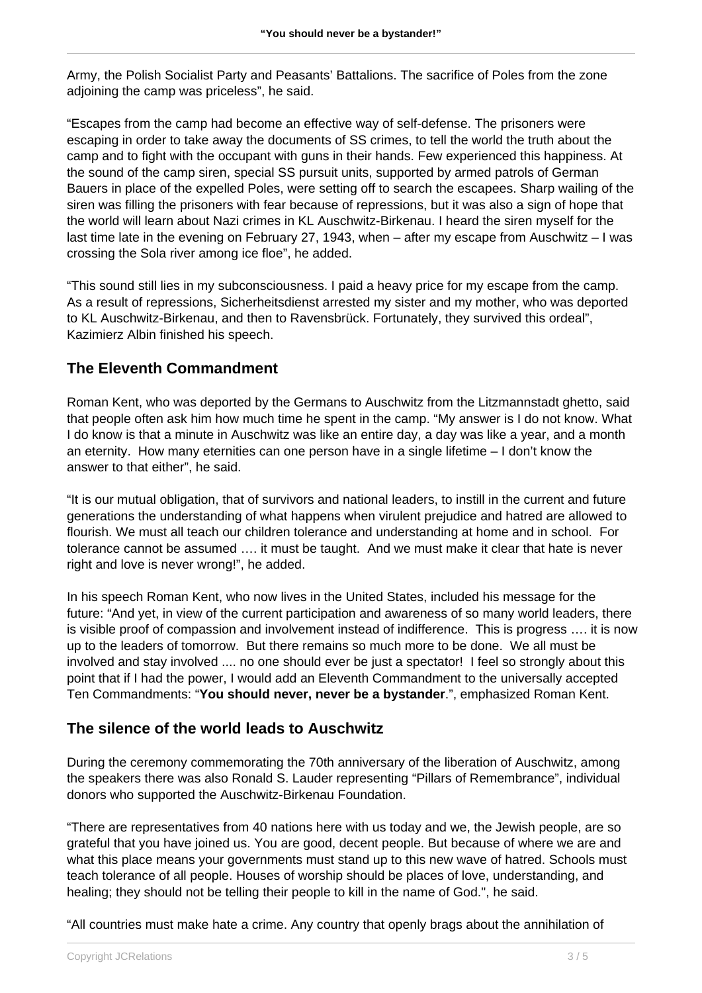Army, the Polish Socialist Party and Peasants' Battalions. The sacrifice of Poles from the zone adjoining the camp was priceless", he said.

"Escapes from the camp had become an effective way of self-defense. The prisoners were escaping in order to take away the documents of SS crimes, to tell the world the truth about the camp and to fight with the occupant with guns in their hands. Few experienced this happiness. At the sound of the camp siren, special SS pursuit units, supported by armed patrols of German Bauers in place of the expelled Poles, were setting off to search the escapees. Sharp wailing of the siren was filling the prisoners with fear because of repressions, but it was also a sign of hope that the world will learn about Nazi crimes in KL Auschwitz-Birkenau. I heard the siren myself for the last time late in the evening on February 27, 1943, when – after my escape from Auschwitz – I was crossing the Sola river among ice floe", he added.

"This sound still lies in my subconsciousness. I paid a heavy price for my escape from the camp. As a result of repressions, Sicherheitsdienst arrested my sister and my mother, who was deported to KL Auschwitz-Birkenau, and then to Ravensbrück. Fortunately, they survived this ordeal", Kazimierz Albin finished his speech.

### **The Eleventh Commandment**

Roman Kent, who was deported by the Germans to Auschwitz from the Litzmannstadt ghetto, said that people often ask him how much time he spent in the camp. "My answer is I do not know. What I do know is that a minute in Auschwitz was like an entire day, a day was like a year, and a month an eternity. How many eternities can one person have in a single lifetime – I don't know the answer to that either", he said.

"It is our mutual obligation, that of survivors and national leaders, to instill in the current and future generations the understanding of what happens when virulent prejudice and hatred are allowed to flourish. We must all teach our children tolerance and understanding at home and in school. For tolerance cannot be assumed …. it must be taught. And we must make it clear that hate is never right and love is never wrong!", he added.

In his speech Roman Kent, who now lives in the United States, included his message for the future: "And yet, in view of the current participation and awareness of so many world leaders, there is visible proof of compassion and involvement instead of indifference. This is progress …. it is now up to the leaders of tomorrow. But there remains so much more to be done. We all must be involved and stay involved .... no one should ever be just a spectator! I feel so strongly about this point that if I had the power, I would add an Eleventh Commandment to the universally accepted Ten Commandments: "**You should never, never be a bystander**.", emphasized Roman Kent.

### **The silence of the world leads to Auschwitz**

During the ceremony commemorating the 70th anniversary of the liberation of Auschwitz, among the speakers there was also Ronald S. Lauder representing "Pillars of Remembrance", individual donors who supported the Auschwitz-Birkenau Foundation.

"There are representatives from 40 nations here with us today and we, the Jewish people, are so grateful that you have joined us. You are good, decent people. But because of where we are and what this place means your governments must stand up to this new wave of hatred. Schools must teach tolerance of all people. Houses of worship should be places of love, understanding, and healing; they should not be telling their people to kill in the name of God.", he said.

"All countries must make hate a crime. Any country that openly brags about the annihilation of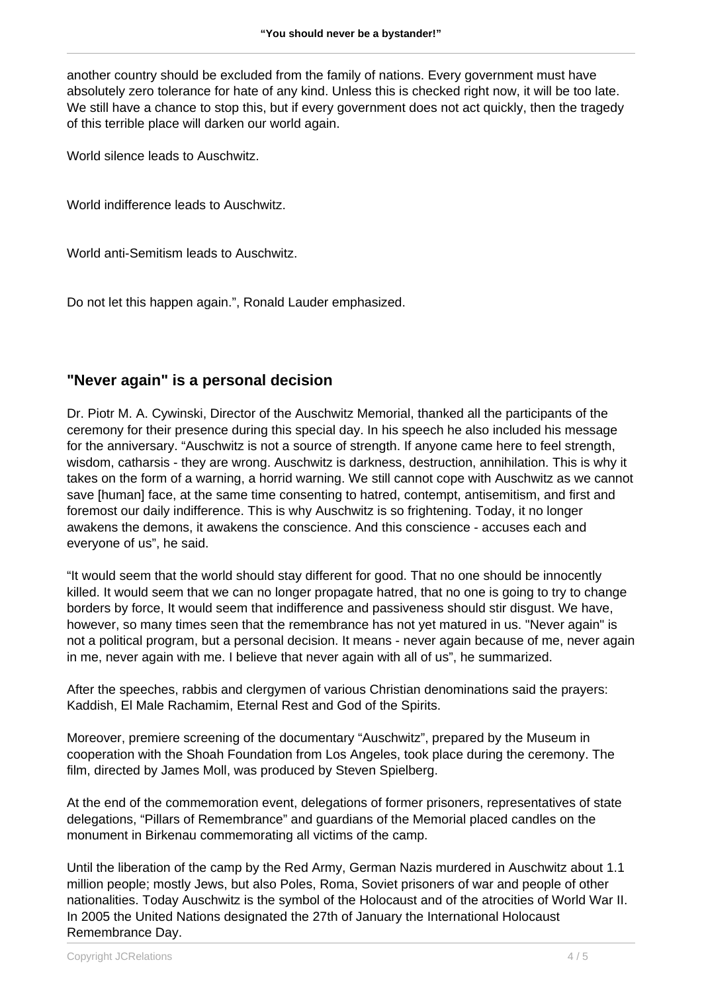another country should be excluded from the family of nations. Every government must have absolutely zero tolerance for hate of any kind. Unless this is checked right now, it will be too late. We still have a chance to stop this, but if every government does not act quickly, then the tragedy of this terrible place will darken our world again.

World silence leads to Auschwitz.

World indifference leads to Auschwitz.

World anti-Semitism leads to Auschwitz.

Do not let this happen again.", Ronald Lauder emphasized.

#### **"Never again" is a personal decision**

Dr. Piotr M. A. Cywinski, Director of the Auschwitz Memorial, thanked all the participants of the ceremony for their presence during this special day. In his speech he also included his message for the anniversary. "Auschwitz is not a source of strength. If anyone came here to feel strength, wisdom, catharsis - they are wrong. Auschwitz is darkness, destruction, annihilation. This is why it takes on the form of a warning, a horrid warning. We still cannot cope with Auschwitz as we cannot save [human] face, at the same time consenting to hatred, contempt, antisemitism, and first and foremost our daily indifference. This is why Auschwitz is so frightening. Today, it no longer awakens the demons, it awakens the conscience. And this conscience - accuses each and everyone of us", he said.

"It would seem that the world should stay different for good. That no one should be innocently killed. It would seem that we can no longer propagate hatred, that no one is going to try to change borders by force, It would seem that indifference and passiveness should stir disgust. We have, however, so many times seen that the remembrance has not yet matured in us. "Never again" is not a political program, but a personal decision. It means - never again because of me, never again in me, never again with me. I believe that never again with all of us", he summarized.

After the speeches, rabbis and clergymen of various Christian denominations said the prayers: Kaddish, El Male Rachamim, Eternal Rest and God of the Spirits.

Moreover, premiere screening of the documentary "Auschwitz", prepared by the Museum in cooperation with the Shoah Foundation from Los Angeles, took place during the ceremony. The film, directed by James Moll, was produced by Steven Spielberg.

At the end of the commemoration event, delegations of former prisoners, representatives of state delegations, "Pillars of Remembrance" and guardians of the Memorial placed candles on the monument in Birkenau commemorating all victims of the camp.

Until the liberation of the camp by the Red Army, German Nazis murdered in Auschwitz about 1.1 million people; mostly Jews, but also Poles, Roma, Soviet prisoners of war and people of other nationalities. Today Auschwitz is the symbol of the Holocaust and of the atrocities of World War II. In 2005 the United Nations designated the 27th of January the International Holocaust Remembrance Day.